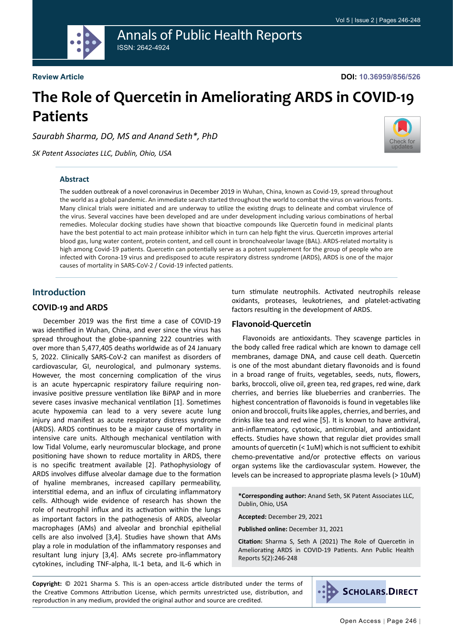

## Annals of Public Health Reports ISSN: 2642-4924

**Review Article**

**DOI: 10.36959/856/526**

# **The Role of Quercetin in Ameliorating ARDS in COVID-19 Patients**

*Saurabh Sharma, DO, MS and Anand Seth\*, PhD*

*SK Patent Associates LLC, Dublin, Ohio, USA* 



#### **Abstract**

The sudden outbreak of a novel coronavirus in December 2019 in Wuhan, China, known as Covid-19, spread throughout the world as a global pandemic. An immediate search started throughout the world to combat the virus on various fronts. Many clinical trials were initiated and are underway to utilize the existing drugs to delineate and combat virulence of the virus. Several vaccines have been developed and are under development including various combinations of herbal remedies. Molecular docking studies have shown that bioactive compounds like Quercetin found in medicinal plants have the best potential to act main protease inhibitor which in turn can help fight the virus. Quercetin improves arterial blood gas, lung water content, protein content, and cell count in bronchoalveolar lavage (BAL). ARDS-related mortality is high among Covid-19 patients. Quercetin can potentially serve as a potent supplement for the group of people who are infected with Corona-19 virus and predisposed to acute respiratory distress syndrome (ARDS), ARDS is one of the major causes of mortality in SARS-CoV-2 / Covid-19 infected patients.

## **Introduction**

#### **COVID-19 and ARDS**

December 2019 was the first time a case of COVID-19 was identified in Wuhan, China, and ever since the virus has spread throughout the globe-spanning 222 countries with over more than 5,477,405 deaths worldwide as of 24 January 5, 2022. Clinically SARS-CoV-2 can manifest as disorders of cardiovascular, GI, neurological, and pulmonary systems. However, the most concerning complication of the virus is an acute hypercapnic respiratory failure requiring noninvasive positive pressure ventilation like BiPAP and in more severe cases invasive mechanical ventilation [1]. Sometimes acute hypoxemia can lead to a very severe acute lung injury and manifest as acute respiratory distress syndrome (ARDS). ARDS continues to be a major cause of mortality in intensive care units. Although mechanical ventilation with low Tidal Volume, early neuromuscular blockage, and prone positioning have shown to reduce mortality in ARDS, there is no specific treatment available [2]. Pathophysiology of ARDS involves diffuse alveolar damage due to the formation of hyaline membranes, increased capillary permeability, interstitial edema, and an influx of circulating inflammatory cells. Although wide evidence of research has shown the role of neutrophil influx and its activation within the lungs as important factors in the pathogenesis of ARDS, alveolar macrophages (AMs) and alveolar and bronchial epithelial cells are also involved [3,4]. Studies have shown that AMs play a role in modulation of the inflammatory responses and resultant lung injury [3,4]. AMs secrete pro-inflammatory cytokines, including TNF-alpha, IL-1 beta, and IL-6 which in

turn stimulate neutrophils. Activated neutrophils release oxidants, proteases, leukotrienes, and platelet-activating factors resulting in the development of ARDS.

#### **Flavonoid-Quercetin**

Flavonoids are antioxidants. They scavenge particles in the body called free radical which are known to damage cell membranes, damage DNA, and cause cell death. Quercetin is one of the most abundant dietary flavonoids and is found in a broad range of fruits, vegetables, seeds, nuts, flowers, barks, broccoli, olive oil, green tea, red grapes, red wine, dark cherries, and berries like blueberries and cranberries. The highest concentration of flavonoids is found in vegetables like onion and broccoli, fruits like apples, cherries, and berries, and drinks like tea and red wine [5]. It is known to have antiviral, anti-inflammatory, cytotoxic, antimicrobial, and antioxidant effects. Studies have shown that regular diet provides small amounts of quercetin (< 1uM) which is not sufficient to exhibit chemo-preventative and/or protective effects on various organ systems like the cardiovascular system. However, the levels can be increased to appropriate plasma levels (> 10uM)

**\*Corresponding author:** Anand Seth, SK Patent Associates LLC, Dublin, Ohio, USA

**Accepted:** December 29, 2021

**Published online:** December 31, 2021

**Citation:** Sharma S, Seth A (2021) The Role of Quercetin in Ameliorating ARDS in COVID-19 Patients. Ann Public Health Reports 5(2):246-248

**Copyright:** © 2021 Sharma S. This is an open-access article distributed under the terms of the Creative Commons Attribution License, which permits unrestricted use, distribution, and reproduction in any medium, provided the original author and source are credited.

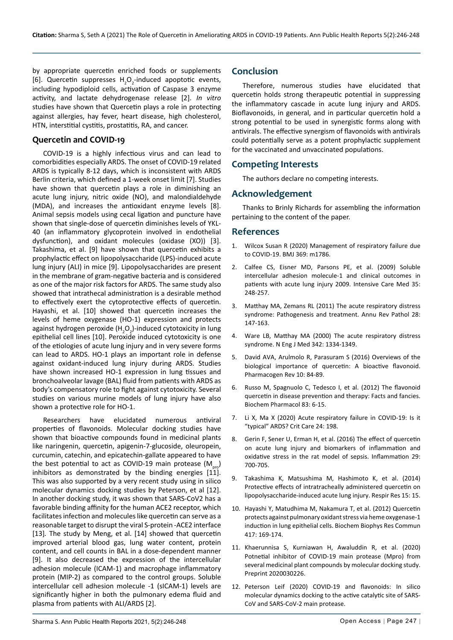by appropriate quercetin enriched foods or supplements [6]. Quercetin suppresses  $H_2O_2$ -induced apoptotic events, including hypodiploid cells, activation of Caspase 3 enzyme activity, and lactate dehydrogenase release [2]. *In vitro*  studies have shown that Quercetin plays a role in protecting against allergies, hay fever, heart disease, high cholesterol, HTN, interstitial cystitis, prostatitis, RA, and cancer.

#### **Quercetin and COVID-19**

COVID-19 is a highly infectious virus and can lead to comorbidities especially ARDS. The onset of COVID-19 related ARDS is typically 8-12 days, which is inconsistent with ARDS Berlin criteria, which defined a 1-week onset limit [7]. Studies have shown that quercetin plays a role in diminishing an acute lung injury, nitric oxide (NO), and malondialdehyde (MDA), and increases the antioxidant enzyme levels [8]. Animal sepsis models using cecal ligation and puncture have shown that single-dose of quercetin diminishes levels of YKL-40 (an inflammatory glycoprotein involved in endothelial dysfunction), and oxidant molecules (oxidase (XO)) [3]. Takashima, et al. [9] have shown that quercetin exhibits a prophylactic effect on lipopolysaccharide (LPS)-induced acute lung injury (ALI) in mice [9]. Lipopolysaccharides are present in the membrane of gram-negative bacteria and is considered as one of the major risk factors for ARDS. The same study also showed that intrathecal administration is a desirable method to effectively exert the cytoprotective effects of quercetin. Hayashi, et al. [10] showed that quercetin increases the levels of heme oxygenase (HO-1) expression and protects against hydrogen peroxide (H<sub>2</sub>O<sub>2</sub>)-induced cytotoxicity in lung epithelial cell lines [10]. Peroxide induced cytotoxicity is one of the etiologies of acute lung injury and in very severe forms can lead to ARDS. HO-1 plays an important role in defense against oxidant-induced lung injury during ARDS. Studies have shown increased HO-1 expression in lung tissues and bronchoalveolar lavage (BAL) fluid from patients with ARDS as body's compensatory role to fight against cytotoxicity. Several studies on various murine models of lung injury have also shown a protective role for HO-1.

Researchers have elucidated numerous antiviral properties of flavonoids. Molecular docking studies have shown that bioactive compounds found in medicinal plants like naringenin, quercetin, apigenin-7-glucoside, oleuropein, curcumin, catechin, and epicatechin-gallate appeared to have the best potential to act as COVID-19 main protease  $(M_{\text{max}})$ inhibitors as demonstrated by the binding energies  $[11]$ . This was also supported by a very recent study using in silico molecular dynamics docking studies by Peterson, et al [12]. In another docking study, it was shown that SARS-CoV2 has a favorable binding affinity for the human ACE2 receptor, which facilitates infection and molecules like quercetin can serve as a reasonable target to disrupt the viral S-protein -ACE2 interface [13]*.* The study by Meng, et al. [14] showed that quercetin improved arterial blood gas, lung water content, protein content, and cell counts in BAL in a dose-dependent manner [9]. It also decreased the expression of the intercellular adhesion molecule (ICAM-1) and macrophage inflammatory protein (MIP-2) as compared to the control groups. Soluble intercellular cell adhesion molecule -1 (sICAM-1) levels are significantly higher in both the pulmonary edema fluid and plasma from patients with ALI/ARDS [2].

## **Conclusion**

Therefore, numerous studies have elucidated that quercetin holds strong therapeutic potential in suppressing the inflammatory cascade in acute lung injury and ARDS. Bioflavonoids, in general, and in particular quercetin hold a strong potential to be used in synergistic forms along with antivirals. The effective synergism of flavonoids with antivirals could potentially serve as a potent prophylactic supplement for the vaccinated and unvaccinated populations.

## **Competing Interests**

The authors declare no competing interests.

#### **Acknowledgement**

Thanks to Brinly Richards for assembling the information pertaining to the content of the paper.

#### **References**

- 1. [Wilcox Susan R \(2020\) Management of respiratory failure due](https://www.bmj.com/content/369/bmj.m1786)  [to COVID-19. BMJ 369: m1786.](https://www.bmj.com/content/369/bmj.m1786)
- 2. [Calfee CS, Eisner MD, Parsons PE, et al. \(2009\) Soluble](https://pubmed.ncbi.nlm.nih.gov/18670758/)  [intercellular adhesion molecule-1 and clinical outcomes in](https://pubmed.ncbi.nlm.nih.gov/18670758/)  [patients with acute lung injury 2009. Intensive Care Med 35:](https://pubmed.ncbi.nlm.nih.gov/18670758/)  [248-257.](https://pubmed.ncbi.nlm.nih.gov/18670758/)
- 3. [Matthay MA, Zemans RL \(2011\) The acute respiratory distress](https://pubmed.ncbi.nlm.nih.gov/20936936/)  [syndrome: Pathogenesis and treatment. Annu Rev Pathol 28:](https://pubmed.ncbi.nlm.nih.gov/20936936/)  [147-163.](https://pubmed.ncbi.nlm.nih.gov/20936936/)
- 4. [Ware LB, Matthay MA \(2000\) The acute respiratory distress](https://pubmed.ncbi.nlm.nih.gov/10793167/)  [syndrome. N Eng J Med 342: 1334-1349.](https://pubmed.ncbi.nlm.nih.gov/10793167/)
- 5. [David AVA, Arulmolo R, Parasuram S \(2016\) Overviews of the](https://pubmed.ncbi.nlm.nih.gov/28082789/)  [biological importance of quercetin: A bioactive flavonoid.](https://pubmed.ncbi.nlm.nih.gov/28082789/)  [Pharmacogen Rev 10: 84-89.](https://pubmed.ncbi.nlm.nih.gov/28082789/)
- 6. [Russo M, Spagnuolo C, Tedesco I, et al. \(2012\) The flavonoid](https://pubmed.ncbi.nlm.nih.gov/21856292/)  [quercetin in disease prevention and therapy: Facts and fancies.](https://pubmed.ncbi.nlm.nih.gov/21856292/)  [Biochem Pharmacol 83: 6-15.](https://pubmed.ncbi.nlm.nih.gov/21856292/)
- 7. [Li X, Ma X \(2020\) Acute respiratory failure in COVID-19: Is it](https://pubmed.ncbi.nlm.nih.gov/32375845/)  ["typical" ARDS? Crit Care 24: 198.](https://pubmed.ncbi.nlm.nih.gov/32375845/)
- 8. [Gerin F, Sener U, Erman H, et al. \(2016\) The effect of quercetin](https://pubmed.ncbi.nlm.nih.gov/26670180/)  [on acute lung injury and biomarkers of inflammation and](https://pubmed.ncbi.nlm.nih.gov/26670180/)  [oxidative stress in the rat model of sepsis. Inflammation](https://pubmed.ncbi.nlm.nih.gov/26670180/) 29: [700-705.](https://pubmed.ncbi.nlm.nih.gov/26670180/)
- 9. [Takashima K, Matsushima M, Hashimoto K, et al. \(2014\)](https://respiratory-research.biomedcentral.com/articles/10.1186/s12931-014-0150-x)  [Protective effects of intratracheally administered quercetin on](https://respiratory-research.biomedcentral.com/articles/10.1186/s12931-014-0150-x)  [lipopolysaccharide-induced acute lung injury. Respir Res 15: 15.](https://respiratory-research.biomedcentral.com/articles/10.1186/s12931-014-0150-x)
- 10. [Hayashi Y, Matudhima M, Nakamura T, et al. \(2012\) Quercetin](https://pubmed.ncbi.nlm.nih.gov/22138401/)  [protects against pulmonary oxidant stress via heme oxygenase-1](https://pubmed.ncbi.nlm.nih.gov/22138401/)  [induction in lung epithelial cells. Biochem Biophys Res Commun](https://pubmed.ncbi.nlm.nih.gov/22138401/)  [417: 169-174.](https://pubmed.ncbi.nlm.nih.gov/22138401/)
- 11. [Khaerunnisa S, Kurniawan H, Awaluddin R, et al. \(2020\)](https://www.preprints.org/manuscript/202003.0226/v1)  [Potnetial inhibitor of COVID-19 main protease \(Mpro\) from](https://www.preprints.org/manuscript/202003.0226/v1)  [several medicinal plant compounds by molecular docking study.](https://www.preprints.org/manuscript/202003.0226/v1)  [Preprint 2020030226.](https://www.preprints.org/manuscript/202003.0226/v1)
- 12. [Peterson Leif \(2020\) COVID-19 and flavonoids: In silico](https://papers.ssrn.com/sol3/papers.cfm?abstract_id=3599426)  [molecular dynamics docking to the active catalytic site of SARS-](https://papers.ssrn.com/sol3/papers.cfm?abstract_id=3599426)[CoV and SARS-CoV-2 main protease.](https://papers.ssrn.com/sol3/papers.cfm?abstract_id=3599426)